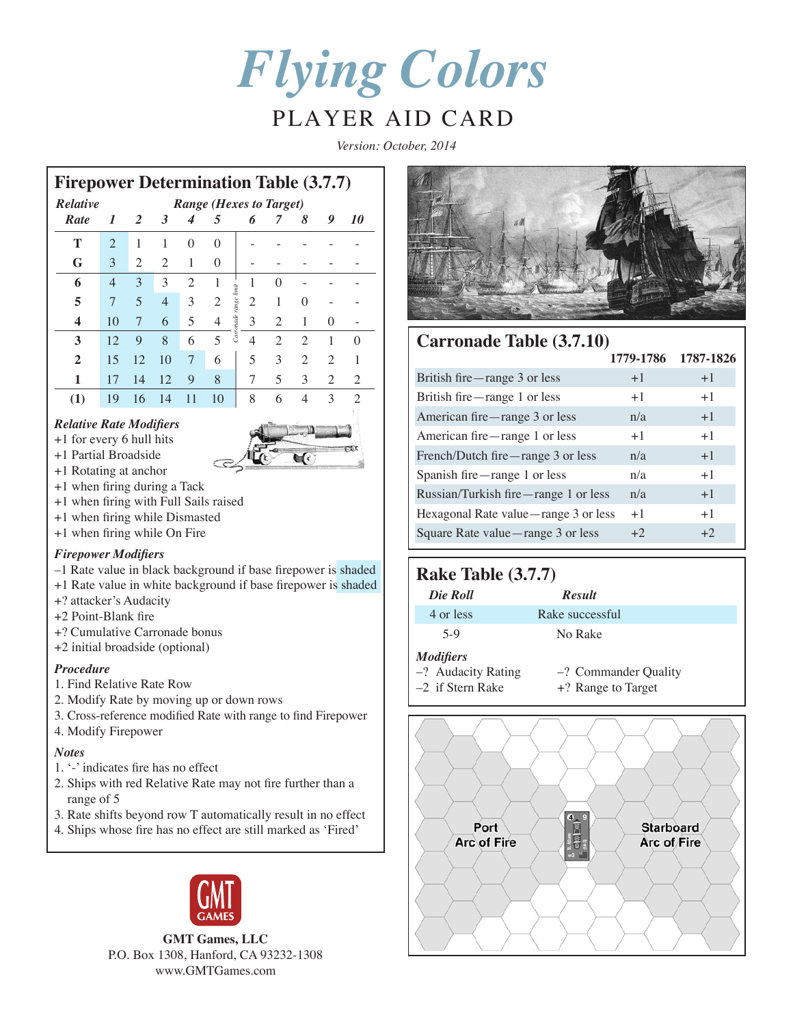*Flying Colors*

# PLAYER AID CARD

*Version: October, 2014*

|                | <b>Firepower Determination Table (3.7.7)</b> |                |                |                |                                |                            |                |                |                |                |  |
|----------------|----------------------------------------------|----------------|----------------|----------------|--------------------------------|----------------------------|----------------|----------------|----------------|----------------|--|
| Relative       |                                              |                |                |                | <b>Range (Hexes to Target)</b> |                            |                |                |                |                |  |
| Rate           | 1                                            | 2              | 3              | 4              | 5                              | 6                          | 7              | 8              | 9              | 10             |  |
| т              | $\mathfrak{D}$                               | 1              | 1              | $\Omega$       | $\Omega$                       |                            |                |                |                |                |  |
| G              | 3                                            | $\overline{2}$ | $\overline{2}$ | 1              | 0                              |                            |                |                |                |                |  |
| 6              | $\overline{4}$                               | 3              | 3              | $\mathfrak{D}$ | 1                              | 1                          | $\theta$       |                |                |                |  |
| 5              | 7                                            | 5              | $\overline{4}$ | 3              | 2                              | 2                          | 1              | 0              |                |                |  |
| 4              | 10                                           | 7              | 6              | 5              | 4                              | Carronade range limit<br>3 | 2              | 1              | $\Omega$       |                |  |
| 3              | 12                                           | 9              | 8              | 6              | 5                              | $\overline{4}$             | $\overline{2}$ | $\overline{2}$ | 1              | $\Omega$       |  |
| $\overline{2}$ | 15                                           | 12             | 10             | 7              | 6                              | 5                          | 3              | $\overline{2}$ | 2              | 1              |  |
| 1              | 17                                           | 14             | 12             | 9              | 8                              | 7                          | 5              | 3              | $\overline{2}$ | 2              |  |
| (1)            | 19                                           | 16             | 14             | 11             | 10                             | 8                          | 6              | 4              | 3              | $\overline{2}$ |  |

### *Relative Rate Modifiers*

+1 for every 6 hull hits





- +1 Rotating at anchor +1 when firing during a Tack
- 
- +1 when firing with Full Sails raised
- +1 when firing while Dismasted
- +1 when firing while On Fire

### *Firepower Modifiers*

- –1 Rate value in black background if base firepower is shaded
- +1 Rate value in white background if base firepower is shaded
- +? attacker's Audacity
- +2 Point-Blank fire
- +? Cumulative Carronade bonus
- +2 initial broadside (optional)

### *Procedure*

- 1. Find Relative Rate Row
- 2. Modify Rate by moving up or down rows
- 3. Cross-reference modified Rate with range to find Firepower
- 4. Modify Firepower

### *Notes*

- 1. '-' indicates fire has no effect
- 2. Ships with red Relative Rate may not fire further than a range of 5
- 3. Rate shifts beyond row T automatically result in no effect
- 4. Ships whose fire has no effect are still marked as 'Fired'



**GMT Games, LLC** P.O. Box 1308, Hanford, CA 93232-1308 www.GMTGames.com



## **Carronade Table (3.7.10)**

|                                      | 1779-1786 | 1787-1826 |
|--------------------------------------|-----------|-----------|
| British fire—range 3 or less         | $+1$      | $+1$      |
| British fire—range 1 or less         | $+1$      | $+1$      |
| American fire—range 3 or less        | n/a       | $+1$      |
| American fire—range 1 or less        | $+1$      | $+1$      |
| French/Dutch fire—range 3 or less    | n/a       | $+1$      |
| Spanish fire—range 1 or less         | n/a       | $+1$      |
| Russian/Turkish fire—range 1 or less | n/a       | $+1$      |
| Hexagonal Rate value—range 3 or less | $+1$      | $+1$      |
| Square Rate value-range 3 or less    | $+2$      | $+2$      |

### **Rake Table (3.7.7)**

| Die Roll                                                     | <b>Result</b>                                 |
|--------------------------------------------------------------|-----------------------------------------------|
| 4 or less                                                    | Rake successful                               |
| $5-9$                                                        | No Rake                                       |
| <b>Modifiers</b><br>-? Audacity Rating<br>$-2$ if Stern Rake | $-$ ? Commander Quality<br>+? Range to Target |

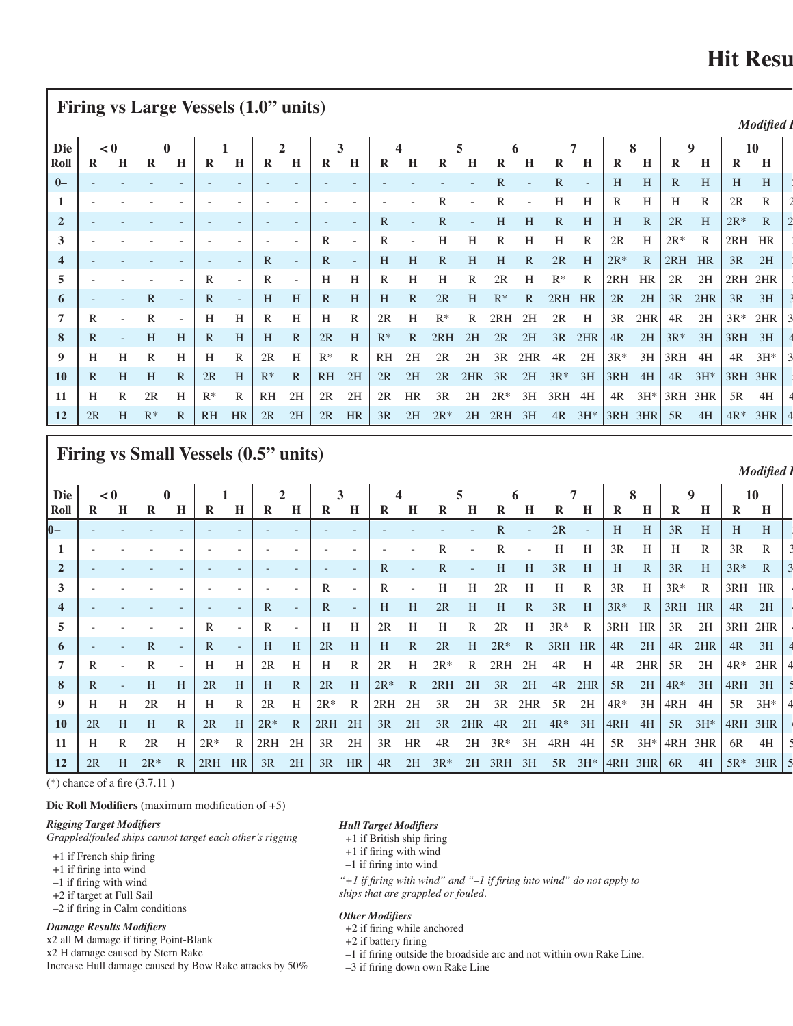# **Hit Resu**

|                                                               |   |     | <b>Firing vs Large Vessels (1.0" units)</b> |              |                 |   |       |              |              |               |              |                |              |                |              |          |                                             |              |                        |               |              |   |                                                                  |  |
|---------------------------------------------------------------|---|-----|---------------------------------------------|--------------|-----------------|---|-------|--------------|--------------|---------------|--------------|----------------|--------------|----------------|--------------|----------|---------------------------------------------|--------------|------------------------|---------------|--------------|---|------------------------------------------------------------------|--|
|                                                               |   |     |                                             |              |                 |   |       |              |              |               |              |                |              |                |              |          |                                             |              |                        |               |              |   | Modified 1                                                       |  |
| Die                                                           |   | < 0 |                                             |              |                 |   |       |              |              |               |              |                |              |                |              |          |                                             |              |                        |               |              |   |                                                                  |  |
| Roll                                                          | R |     |                                             |              | R               |   | R     |              |              |               | R            |                |              |                | R            |          |                                             | $\mathbf H$  | R                      | Н<br>R        | $\mathbf H$  | R | H                                                                |  |
| $0-$                                                          |   |     |                                             |              |                 |   |       |              |              |               |              |                |              |                | R            |          | $\mathbb{R}$                                |              | H                      | H<br>R        | H            |   | H<br>H                                                           |  |
|                                                               |   |     |                                             |              |                 |   |       |              |              |               |              |                |              |                |              |          | H                                           | H            |                        | H             |              |   | 2R                                                               |  |
| $\overline{2}$                                                |   |     |                                             |              |                 |   |       |              |              |               | $\mathbb{R}$ |                | $\mathbb{R}$ |                | H            | H        | $\mathbb{R}$                                | H            | H                      | 2R<br>R       | H            |   | $ 2R^* \t R$                                                     |  |
|                                                               |   |     |                                             |              |                 |   |       |              |              |               | R            |                | H            | H              | $\mathbb{R}$ | H        | H                                           | $\mathbf{R}$ | 2R                     | $H \mid 2R^*$ | $\mathbb{R}$ |   | $2RH$ HR                                                         |  |
| $\overline{4}$                                                |   |     |                                             |              |                 |   | R     |              | $\mathbb{R}$ |               |              | $H$ $H$        | R            | H              |              | $H \ R$  |                                             |              |                        |               |              |   |                                                                  |  |
| $5\overline{5}$                                               |   |     |                                             |              |                 |   | R     |              |              | $H$ H         | R            | H              | H            |                | 2R           | H        | $R^*$                                       | $\mathbb{R}$ | $ 2RH$ HR $ 2R$ 2H     |               |              |   | $ 2RH$ 2HR                                                       |  |
| 6                                                             |   |     | R                                           |              | R               |   | H     |              |              | $R$ H         |              | $H$ R          | 2R           | H              |              |          |                                             |              |                        |               |              |   | $R^*$ R 2RH HR 2R 2H 3R 2HR 3R 3H                                |  |
|                                                               |   |     | R                                           |              | H               |   |       |              |              | $\mathbb{R}$  | 2R           | H              | $R^*$        |                | $R$ 2RH 2H   |          | $2R$ H                                      |              | $3R$ 2HR $4R$ 2H       |               |              |   | $3R^*$ 2HR                                                       |  |
| 8                                                             |   |     | H                                           | H            | $\mathbb{R}$    | H | H     | R            | $2R$ H       |               |              |                |              | $R^*$ R 2RH 2H |              | $2R$ 2H  |                                             |              |                        |               |              |   | $3R$ 2HR 4R 2H $3R^*$ 3H $3RH$ 3H                                |  |
| 9                                                             |   |     |                                             |              |                 |   | 2R    |              | $R^*$        |               |              | RH 2H          | 2R           | 2H             |              | $3R$ 2HR | $4R$ 2H                                     |              | $ 3R^* \t3H  3RH \t4H$ |               |              |   | $4R$ $3H^*$                                                      |  |
| <b>10</b>                                                     |   |     | H                                           | $\mathbb{R}$ | 2R              | H | $R^*$ | $\mathbb{R}$ |              | $RH$ 2H       |              | $\sqrt{2R}$ 2H |              |                |              |          |                                             |              |                        |               |              |   | 2R 2HR   3R 2H   3R * 3H   3RH 4H   4R 3H *   3RH 3HR            |  |
|                                                               |   |     | 2R                                          | H            | $R^*$ R         |   |       |              |              | $RH$ 2H 2R 2H |              |                |              |                |              |          | 2R HR   3R 2H   2R <sup>*</sup> 3H   3RH 4H |              |                        |               |              |   | $\vert$ 4R 3H* 3RH 3HR $\vert$ 5R 4H                             |  |
| $\begin{array}{ c c c } \hline 12 & 2R \\ \hline \end{array}$ |   |     |                                             | - R          | $RH$ HR $2R$ 2H |   |       |              |              | $\vert 2R$ HR |              |                |              |                |              |          |                                             |              |                        |               |              |   | 3R 2H   2R* 2H   2RH 3H   4R 3H*   3RH 3HR   5R 4H   4R* 3HR   4 |  |

# **Firing vs Small Vessels (0.5" units)**

|                         |     |                  |              |                                        |              |         |          |              |              |        |              |   |                   |              |                                                                  |   |                 |              | <b>Modified</b> I                                                                                                               |  |
|-------------------------|-----|------------------|--------------|----------------------------------------|--------------|---------|----------|--------------|--------------|--------|--------------|---|-------------------|--------------|------------------------------------------------------------------|---|-----------------|--------------|---------------------------------------------------------------------------------------------------------------------------------|--|
| Die                     | < 0 |                  |              |                                        |              |         |          |              |              |        |              |   |                   |              |                                                                  |   |                 |              | 10                                                                                                                              |  |
| Roll                    |     |                  |              |                                        |              |         | R.       |              | R            |        | R            |   | R                 | $\mathbf{R}$ | H<br>R                                                           | Н | $\mathbf R$     | $\mathbf{H}$ | $R$ H $\vert$                                                                                                                   |  |
|                         |     |                  |              |                                        |              |         |          |              |              |        |              |   | $\mathbb{R}$      | 2R           | H                                                                | H | 3R              | H            | $H$ $H$                                                                                                                         |  |
|                         |     |                  |              |                                        |              |         |          |              |              |        |              |   | R                 | $H$ H        | 3R                                                               | H | H               |              | $3R$ R                                                                                                                          |  |
| $\overline{2}$          |     |                  |              |                                        |              |         |          |              | $\mathbb{R}$ |        | $\mathbb{R}$ |   | $H$ $H$           |              | $3R$ H H R                                                       |   |                 |              | $3R$ H $3R^*$ R                                                                                                                 |  |
|                         |     |                  |              |                                        |              |         |          |              | R            |        | H            |   | $2R$ H            | $H \quad R$  |                                                                  |   | $3R$ H $3R^*$ R |              | $3RH$ HR                                                                                                                        |  |
| $\overline{4}$          |     |                  |              |                                        | $\mathbb{R}$ |         | R        |              | H            | H      | 2R           | H | $H \ R$           |              |                                                                  |   |                 |              | $3R$ H $3R^*$ R $3RH$ HR $4R$ 2H                                                                                                |  |
|                         |     |                  |              |                                        | R            |         |          | $H$ H        | 2R           |        |              |   |                   |              | $2R$ H $ 3R^*$ R $ 3RH$ HR $ 3R$ 2H                              |   |                 |              | $ 3RH$ 2HR                                                                                                                      |  |
| $\overline{\mathbf{6}}$ |     |                  | $\mathbb{R}$ |                                        |              | $H$ $H$ |          | $2R$ H       |              | $H$ R  |              |   |                   |              |                                                                  |   |                 |              |                                                                                                                                 |  |
|                         |     |                  |              |                                        | 2R           |         |          | $\mathbb{R}$ |              | $2R$ H |              |   | $2R^*$ R $2RH$ 2H |              |                                                                  |   |                 |              |                                                                                                                                 |  |
| $\boldsymbol{8}$        |     | $H$ $H$          | 2R           |                                        |              | $H$ R   |          | $2R$ H       |              |        |              |   |                   |              |                                                                  |   |                 |              |                                                                                                                                 |  |
| 9                       |     | 2R               | H            |                                        | 2R           |         | $2R^*$ R |              | $2RH$ 2H     |        | $3R$ 2H      |   |                   |              |                                                                  |   |                 |              |                                                                                                                                 |  |
| <b>10</b>               | 2R  | $H$ R            |              | $\begin{vmatrix} 2R & H \end{vmatrix}$ |              |         |          |              |              |        |              |   |                   |              |                                                                  |   |                 |              |                                                                                                                                 |  |
| 11                      |     | $_{\rm H}$<br>2R |              | $2R^*$ R                               | $ 2RH$ 2H    |         |          | 3R 2H        |              |        |              |   |                   |              | $3R$ HR $4R$ $2H$ $3R^*$ $3H$ $4RH$ $4H$ $5R$ $3H^*$ $4RH$ $3HR$ |   |                 |              | 6R 4H                                                                                                                           |  |
|                         |     |                  |              |                                        |              |         |          |              |              |        |              |   |                   |              |                                                                  |   |                 |              | 12   2R   H   2R*   R   2RH HR   3R   2H   3R   HR   4R   2H   3R*   2H   3RH   3H   5R   3H*   4RH 3HR   6R   4H   5R* 3HR   5 |  |

(\*) chance of a fire (3.7.11 )

Г

**Die Roll Modifiers** (maximum modification of +5)

#### *Rigging Target Modifiers*

*Grappled/fouled ships cannot target each other's rigging*

- +1 if French ship firing
- +1 if firing into wind
- –1 if firing with wind
- +2 if target at Full Sail
- –2 if firing in Calm conditions

#### *Damage Results Modifiers*

x2 all M damage if firing Point-Blank

x2 H damage caused by Stern Rake

Increase Hull damage caused by Bow Rake attacks by 50%

#### *Hull Target Modifiers*

- +1 if British ship firing
- +1 if firing with wind
- –1 if firing into wind

*"+1 if firing with wind" and "–1 if firing into wind" do not apply to* 

*ships that are grappled or fouled.*

#### *Other Modifiers*

- +2 if firing while anchored
- +2 if battery firing
- –1 if firing outside the broadside arc and not within own Rake Line.
- –3 if firing down own Rake Line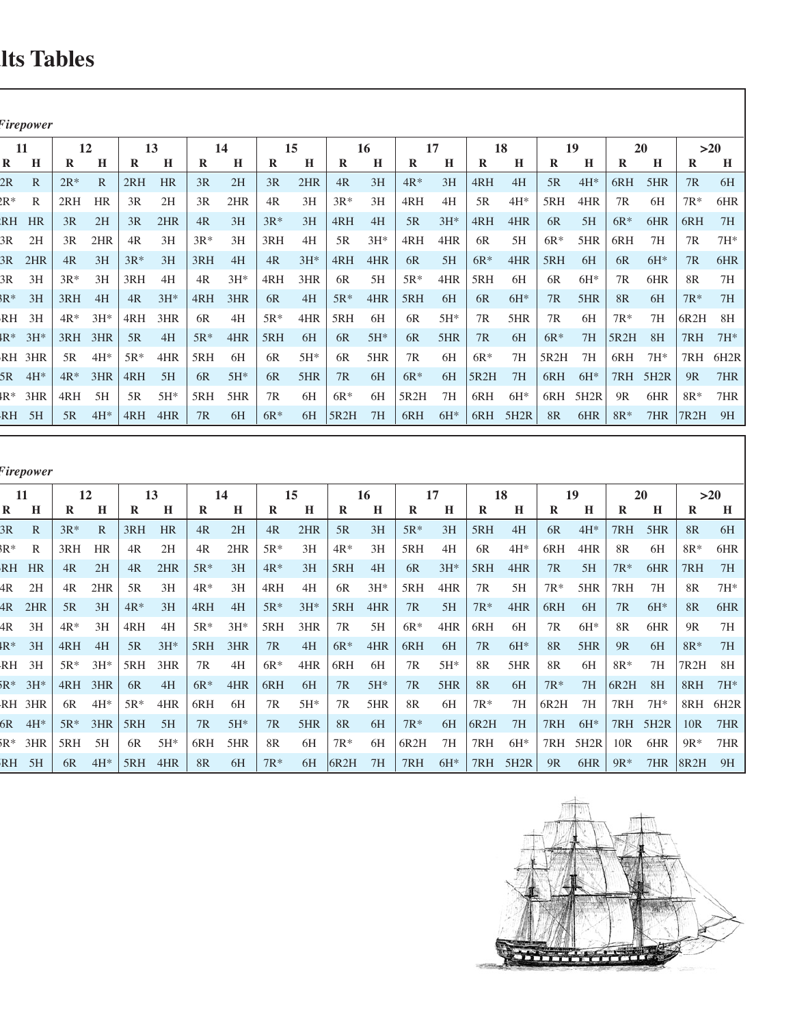# **Its Tables**

| <sup>F</sup> irepower |                              |            |             |             |          |             |        |                        |                    |     |           |             |              |            |         |                     |              |                                            |            |     |
|-----------------------|------------------------------|------------|-------------|-------------|----------|-------------|--------|------------------------|--------------------|-----|-----------|-------------|--------------|------------|---------|---------------------|--------------|--------------------------------------------|------------|-----|
| 11                    |                              | 12         |             | 13          |          | 14          |        | 15                     |                    |     |           |             |              | 18         |         | 19                  |              | <b>20</b>                                  |            | >20 |
| $\mathbf{R}$          | $\mathbf{H}$<br>R            |            |             |             |          |             |        |                        |                    |     |           |             |              |            | $\bf R$ | $\mathbf H$         | $\mathbf{R}$ |                                            | $R$ H      |     |
| 2R                    | $2R^*$                       |            | 2RH         | <b>HR</b>   | 3R       | 2H          | 3R     | 2HR                    | 4R                 | 3H  | $4R^*$    | 3H          | 4RH          | 4H         | 5R      | $4H^*$              | $ 6RH$ 5HR   |                                            | 7R 6H      |     |
| $2R^*$                |                              | $ 2RH$ HR  | 3R          | 2H          |          | 2HR         | 4R     | 3H                     | $3R*$              | 3H  | 4RH       |             | 5R           | 4H*        | 5RH     | 4HR                 | 7R           | 6H                                         | $7R^*$ 6HR |     |
| $R$ H HR $\parallel$  |                              | $3R$ $2H$  |             | $3R$ $2HR$  | 4R       | 3H          | $3R^*$ | 3H                     | 4RH 4H             |     |           | $5R$ $3H^*$ |              | 4RH 4HR    | 6R      | 5H                  | $6R^*$ 6HR   |                                            | 6RH 7H     |     |
| 3R                    | 2H                           | $3R$ 2HR   | 4R 3H       |             | $3R^*$   | 3H          | 3RH    | 4H                     | $5R$ $3H^*$        |     | 4RH       | 4HR         | 6R           | 5H         |         | $6R^*$ 5HR 6RH      |              | 7H                                         | 7R 7H*     |     |
|                       | $3R$ 2HR $4R$ 3H             |            | $3R^*$ 3H   |             |          | $ 3RH$ 4H   |        | $4R$ $3H*$ $4RH$ $4HR$ |                    |     |           | 6R 5H       |              | $6R^*$ 4HR |         | $5RH$ 6H            |              | $6R$ $6H^*$                                | 7R 6HR     |     |
|                       | $3R$ $3H$ $3R^*$ $3H$        |            | 3RH 4H      |             |          | $4R$ $3H^*$ |        | $ARH$ 3HR 6R           |                    | 5H  |           | $5R^*$ 4HR  | $5RH$ 6H     |            |         | $6R$ $6H*$          | 7R           | 6HR                                        | 8R 7H      |     |
|                       | $8R^*$ 3H 3RH 4H             |            |             | $4R$ $3H^*$ |          | $ARH$ 3HR   | 6R     | 4H                     | $\vert 5R^* \vert$ | 4HR | 5RH 6H    |             | 6R           | $6H*$      |         | $7R$ 5HR            | 8R 6H        |                                            | $7R^*$ 7H  |     |
| $RH$ 3H               |                              | $4R^*$ 3H* | $4RH$ 3HR   |             | 6R       | 4H          | $5R*$  | $4HR$ 5RH 6H           |                    |     |           | $6R$ $5H^*$ | 7R           | 5HR        | 7R      | 6H                  | $7R^*$ 7H    |                                            | $6R2H$ 8H  |     |
|                       | $4R^*$ 3H* 3RH 3HR           |            |             | 5R 4H       |          | $5R^*$ 4HR  |        | 5RH 6H                 | $6R$ 5H*           |     |           | 6R 5HR      | 7R           | $-6H$      |         | $6R^*$ 7H   5R2H 8H |              |                                            | 7RH 7H*    |     |
| $RH$ 3HR              |                              | 5R 4H*     | $5R^*$ 4HR  |             | $5RH$ 6H |             |        | $6R$ $5H^*$            | 6R                 | 5HR | 7R 6H     |             | $6R*$        | 7H         |         | $5R2H$ 7H 6RH 7H*   |              |                                            | 7RH 6H2R   |     |
|                       | $5R$ 4H* $4R^*$ 3HR $4RH$ 5H |            |             |             |          | $6R$ 5H*    |        | $6R$ 5HR $7R$ 6H       |                    |     | $6R^*$ 6H |             | $ 5R2H$ 7H   |            |         |                     |              | 6RH 6H* 7RH 5H2R 9R 7HR                    |            |     |
|                       | $4R^*$ 3HR $4RH$ 5H          |            | $5R$ $5H^*$ |             |          | $5RH$ 5HR   |        | 7R 6H                  | $\cdot$   6R*      | 6H  | 5R2H 7H   |             | $6RH$ $6H^*$ |            |         |                     |              | $6RH$ 5H2R $9R$ 6HR $8R^*$ 7HR             |            |     |
|                       |                              |            |             |             |          | 6H          | $6R^*$ |                        | 6H $ 5R2H$ 7H      |     |           |             |              |            |         |                     |              | 6RH 6H* $ 6RH$ 5H2R 8R 6HR 8R* 7HR 7R2H 9H |            |     |

*Modified Firepower*

| -11                 |                                                                     |              |     |                        |             | 14          |                                | 15                                                        |             | 16               |                                  |             |                         |          |    | 19         |            |                                             |            | >20   |
|---------------------|---------------------------------------------------------------------|--------------|-----|------------------------|-------------|-------------|--------------------------------|-----------------------------------------------------------|-------------|------------------|----------------------------------|-------------|-------------------------|----------|----|------------|------------|---------------------------------------------|------------|-------|
| $\bf R$<br>H        | K.                                                                  | $\bf{H}$     | R.  |                        | R           | $\mathbf H$ | R                              |                                                           |             | H                | R                                |             |                         |          | R  | H          |            |                                             |            | $R$ H |
| 3R                  | $3R^*$                                                              | $\mathbb{R}$ | 3RH | <b>HR</b>              | 4R          | 2H          | 4R                             | 2HR                                                       | 5R          | 3H               | $5R^*$                           | 3H          | 5RH                     | 4H       | 6R | $4H^*$     | 7RH        | 5HR                                         | 8R 6H      |       |
| BR*<br>$\mathbb{R}$ |                                                                     | 3RH HR       |     | $4R$ $2H$              | 4R          | 2HR         |                                | $5R^*$ 3H                                                 | $\vert$ 4R* | 3H               | 5RH                              | 4H          | 6R                      | 4H*      |    | 6RH 4HR    | 8R         | - 6H                                        | $8R^*$ 6HR |       |
| RH HR               |                                                                     | $4R$ 2H      |     | $4R$ 2HR               | $\vert$ 5R* | 3H          |                                | $AR^*$ 3H                                                 |             | $\sqrt{5RH}$ 4H  |                                  |             | $6R$ $3H^*$ $5RH$ $4HR$ |          |    | $7R$ 5H    | $7R*$      | 6HR                                         | 7RH 7H     |       |
| $4R$ 2H             |                                                                     | $4R$ 2HR     |     | 5R 3H                  | $ 4R^*$ 3H  |             |                                | $4RH$ $4H$                                                | 6R          | $3H^*$           | $\vert$ 5RH 4HR $\vert$ 7R 5H    |             |                         |          |    | $7R^*$ 5HR | 7RH 7H     |                                             | 8R 7H*     |       |
|                     | $4R$ 2HR $5R$ 3H                                                    |              |     | $4R^*$ 3H              | $ 4RH$ 4H   |             | $\vert$ 5R* 3H*                |                                                           |             | $\sqrt{5RH}$ 4HR |                                  | 7R 5H       | $ 7R^*$                 | 4HR      |    | $6RH$ $6H$ |            | $7R$ 6H*                                    | 8R 6HR     |       |
|                     | $4R \quad 3H \mid 4R^* \quad 3H$                                    |              |     | $ 4RH$ 4H              |             |             |                                | $\left 5R^* \quad 3H^* \right $ 5RH 3HR $\left 7R\right $ |             | 5H               |                                  |             | $6R^*$ 4HR 6RH 6H       |          |    | $7R$ 6H*   | 8R         | 6HR                                         | 9R 7H      |       |
|                     | $4R^*$ 3H $4RH$ 4H                                                  |              |     | $5R$ $3H^*$            |             | $ 5RH$ 3HR  |                                | 7R 4H                                                     |             | $6R^*$ 4HR       | $\sqrt{6RH}$ 6H                  |             |                         | $7R$ 6H* |    | $8R$ 5HR   | $9R$ 6H    |                                             | $8R^*$ 7H  |       |
|                     | RH $3H$   $5R^*$ $3H^*$   $5RH$ $3HR$   $7R$ $4H$                   |              |     |                        |             |             |                                | $6R^*$ 4HR 6RH 6H                                         |             |                  |                                  | $7R$ $5H^*$ | 8R                      | 5HR      |    | 8R 6H      | $8R^*$     | 7H                                          | 7R2H 8H    |       |
|                     | $5R^*$ 3H* $4RH$ 3HR                                                |              |     | $6R$ 4H                |             |             | $\vert$ 6R* 4HR $\vert$ 6RH 6H |                                                           |             | $7R$ 5H*         |                                  | $7R$ 5HR    | 8R                      | 6H       |    | $7R^*$ 7H  | $ 6R2H$ 8H |                                             | $8RH$ 7H*  |       |
|                     | RH 3HR $\overline{6R}$ 4H* $\overline{5R}$ * 4HR $\overline{6R}$ 6H |              |     |                        |             |             |                                | $7R$ 5H*                                                  | 7R          | 5HR              | 8R 6H                            |             | $7R*$                   | 7H       |    |            |            | $ 6R2H$ 7H   7RH 7H*   8RH 6H2R             |            |       |
|                     | $6R$ 4H* $5R*$ 3HR $5R$ H 5H                                        |              |     |                        |             | $7R$ 5H*    | 7R                             | $5HR$ 8R                                                  |             | 6H               | $7R^*$ 6H                        |             | $ 6R2H$ 7H              |          |    |            |            | 7RH 6H*   7RH 5H2R   10R 7HR                |            |       |
|                     | $5R^*$ 3HR $\vert$ 5RH 5H                                           |              |     | $6R$ 5H* $6RH$ 5HR     |             |             | 8R                             | 6H                                                        | $7R*$       | 6H               | 6R2H 7H                          |             | $ 7RH$ 6H*              |          |    | 7RH 5H2R   |            | $10R$ 6HR $9R^*$ 7HR                        |            |       |
| $RH$ 5H             |                                                                     |              |     | 6R $4H^*$ 5RH $4HR$ 8R |             | 6H          | $7R^*$                         | 6H                                                        | $ 6R2H$ 7H  |                  | $\vert$ 7RH 6H* $\vert$ 7RH 5H2R |             |                         |          |    |            |            | 9R 6HR $\sqrt{9}R^*$ 7HR $\sqrt{8}R^2$ H 9H |            |       |